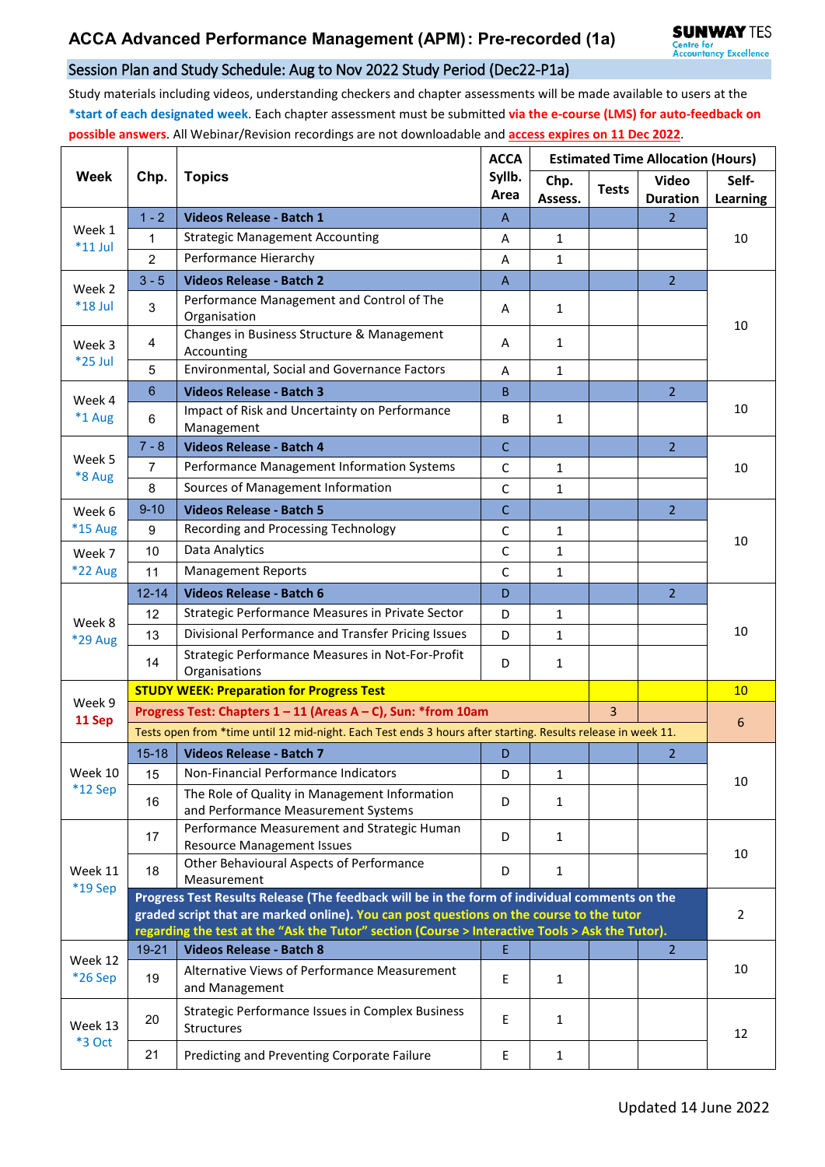## Session Plan and Study Schedule: Aug to Nov 2022 Study Period (Dec22-P1a)

Study materials including videos, understanding checkers and chapter assessments will be made available to users at the **\*start of each designated week**. Each chapter assessment must be submitted **via the e-course (LMS) for auto-feedback on possible answers**. All Webinar/Revision recordings are not downloadable and **access expires on 11 Dec 2022**.

| Week                     | Chp.                                                                                                         | <b>Topics</b>                                                                            | <b>ACCA</b><br>Syllb.<br>Area | <b>Estimated Time Allocation (Hours)</b> |                |                                 |                   |  |  |
|--------------------------|--------------------------------------------------------------------------------------------------------------|------------------------------------------------------------------------------------------|-------------------------------|------------------------------------------|----------------|---------------------------------|-------------------|--|--|
|                          |                                                                                                              |                                                                                          |                               | Chp.<br>Assess.                          | <b>Tests</b>   | <b>Video</b><br><b>Duration</b> | Self-<br>Learning |  |  |
| Week 1<br>$*11$ Jul      | $1 - 2$                                                                                                      | Videos Release - Batch 1                                                                 | $\overline{A}$                |                                          |                | $\overline{2}$                  | 10                |  |  |
|                          | $\mathbf{1}$                                                                                                 | <b>Strategic Management Accounting</b>                                                   | Α                             | $\mathbf{1}$                             |                |                                 |                   |  |  |
|                          | $\overline{2}$                                                                                               | Performance Hierarchy                                                                    | A                             | $\mathbf{1}$                             |                |                                 |                   |  |  |
| Week 2<br>*18 Jul        | $3 - 5$                                                                                                      | <b>Videos Release - Batch 2</b>                                                          | A                             |                                          |                | 2 <sup>1</sup>                  | 10                |  |  |
|                          | 3                                                                                                            | Performance Management and Control of The<br>Organisation                                | A                             | $\mathbf{1}$                             |                |                                 |                   |  |  |
| Week 3<br>*25 Jul        | 4                                                                                                            | Changes in Business Structure & Management<br>Accounting                                 | Α                             | 1                                        |                |                                 |                   |  |  |
|                          | 5                                                                                                            | Environmental, Social and Governance Factors                                             | A                             | $\mathbf{1}$                             |                |                                 |                   |  |  |
| Week 4<br>*1 Aug         | 6                                                                                                            | <b>Videos Release - Batch 3</b>                                                          | B                             |                                          |                | $\overline{2}$                  | 10                |  |  |
|                          | 6                                                                                                            | Impact of Risk and Uncertainty on Performance<br>Management                              | B                             | $\mathbf{1}$                             |                |                                 |                   |  |  |
|                          | $7 - 8$                                                                                                      | <b>Videos Release - Batch 4</b>                                                          | $\mathsf{C}$                  |                                          |                | $\overline{2}$                  | 10                |  |  |
| Week 5                   | $\overline{7}$                                                                                               | Performance Management Information Systems                                               | $\mathsf{C}$                  | 1                                        |                |                                 |                   |  |  |
| *8 Aug                   | 8                                                                                                            | Sources of Management Information                                                        | $\mathsf C$                   | 1                                        |                |                                 |                   |  |  |
| Week 6                   | $9 - 10$                                                                                                     | <b>Videos Release - Batch 5</b>                                                          | $\mathsf{C}$                  |                                          |                | $\overline{2}$                  | 10                |  |  |
| *15 Aug                  | 9                                                                                                            | Recording and Processing Technology                                                      | C                             | 1                                        |                |                                 |                   |  |  |
| Week 7                   | 10                                                                                                           | Data Analytics                                                                           | $\mathsf{C}$                  | $\mathbf{1}$                             |                |                                 |                   |  |  |
| <b>*22 Aug</b>           | 11                                                                                                           | <b>Management Reports</b>                                                                | C                             | $\mathbf{1}$                             |                |                                 |                   |  |  |
|                          | $12 - 14$                                                                                                    | <b>Videos Release - Batch 6</b>                                                          | D                             |                                          |                | $\overline{2}$                  |                   |  |  |
|                          | 12                                                                                                           | Strategic Performance Measures in Private Sector                                         | D                             | 1                                        |                |                                 | 10                |  |  |
| Week 8<br>*29 Aug        | 13                                                                                                           | Divisional Performance and Transfer Pricing Issues                                       | D                             | 1                                        |                |                                 |                   |  |  |
|                          | 14                                                                                                           | Strategic Performance Measures in Not-For-Profit<br>Organisations                        | D                             | 1                                        |                |                                 |                   |  |  |
|                          | <b>STUDY WEEK: Preparation for Progress Test</b>                                                             |                                                                                          |                               |                                          |                |                                 |                   |  |  |
| Week 9                   |                                                                                                              | Progress Test: Chapters 1 - 11 (Areas A - C), Sun: *from 10am                            | $\overline{3}$                |                                          | 6              |                                 |                   |  |  |
| 11 Sep                   | Tests open from *time until 12 mid-night. Each Test ends 3 hours after starting. Results release in week 11. |                                                                                          |                               |                                          |                |                                 |                   |  |  |
|                          | $15 - 18$                                                                                                    | <b>Videos Release - Batch 7</b>                                                          | D                             |                                          |                | $\overline{2}$                  |                   |  |  |
| Week 10                  | 15                                                                                                           | Non-Financial Performance Indicators                                                     | D                             | 1                                        |                |                                 |                   |  |  |
| $*12$ Sep                | 16                                                                                                           | The Role of Quality in Management Information<br>and Performance Measurement Systems     | D                             | $\mathbf{1}$                             |                |                                 | 10                |  |  |
| Week 11<br>*19 Sep       | 17                                                                                                           | Performance Measurement and Strategic Human<br><b>Resource Management Issues</b>         | D                             | $\mathbf{1}$                             |                |                                 |                   |  |  |
|                          | 18                                                                                                           | Other Behavioural Aspects of Performance<br>Measurement                                  | D                             | 1                                        |                |                                 | 10                |  |  |
|                          | Progress Test Results Release (The feedback will be in the form of individual comments on the                |                                                                                          |                               |                                          |                |                                 |                   |  |  |
|                          |                                                                                                              | graded script that are marked online). You can post questions on the course to the tutor |                               |                                          | $\overline{2}$ |                                 |                   |  |  |
|                          | regarding the test at the "Ask the Tutor" section (Course > Interactive Tools > Ask the Tutor).              |                                                                                          |                               |                                          |                |                                 |                   |  |  |
| Week 12<br>*26 Sep       | $19 - 21$                                                                                                    | <b>Videos Release - Batch 8</b>                                                          | E                             |                                          |                | $\overline{2}$                  | 10                |  |  |
|                          | 19                                                                                                           | Alternative Views of Performance Measurement<br>and Management                           | E                             | $\mathbf{1}$                             |                |                                 |                   |  |  |
| Week 13<br><b>*3 Oct</b> | 20                                                                                                           | Strategic Performance Issues in Complex Business<br>Structures                           | E                             | 1                                        |                |                                 | 12                |  |  |
|                          | 21                                                                                                           | Predicting and Preventing Corporate Failure                                              | Е                             | $\mathbf{1}$                             |                |                                 |                   |  |  |